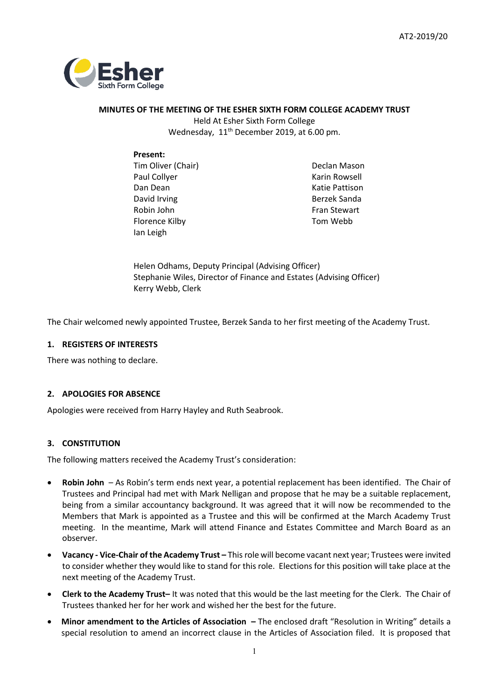

# **MINUTES OF THE MEETING OF THE ESHER SIXTH FORM COLLEGE ACADEMY TRUST**

Held At Esher Sixth Form College Wednesday, 11<sup>th</sup> December 2019, at 6.00 pm.

# **Present:**

Tim Oliver (Chair) Paul Collyer Dan Dean David Irving Robin John Florence Kilby Ian Leigh

Declan Mason Karin Rowsell Katie Pattison Berzek Sanda Fran Stewart Tom Webb

Helen Odhams, Deputy Principal (Advising Officer) Stephanie Wiles, Director of Finance and Estates (Advising Officer) Kerry Webb, Clerk

The Chair welcomed newly appointed Trustee, Berzek Sanda to her first meeting of the Academy Trust.

# **1. REGISTERS OF INTERESTS**

There was nothing to declare.

# **2. APOLOGIES FOR ABSENCE**

Apologies were received from Harry Hayley and Ruth Seabrook.

# **3. CONSTITUTION**

The following matters received the Academy Trust's consideration:

- **Robin John**  As Robin's term ends next year, a potential replacement has been identified. The Chair of Trustees and Principal had met with Mark Nelligan and propose that he may be a suitable replacement, being from a similar accountancy background. It was agreed that it will now be recommended to the Members that Mark is appointed as a Trustee and this will be confirmed at the March Academy Trust meeting. In the meantime, Mark will attend Finance and Estates Committee and March Board as an observer.
- **Vacancy - Vice-Chair of the Academy Trust –** This role will become vacant next year; Trustees were invited to consider whether they would like to stand for this role. Elections for this position will take place at the next meeting of the Academy Trust.
- **Clerk to the Academy Trust–** It was noted that this would be the last meeting for the Clerk. The Chair of Trustees thanked her for her work and wished her the best for the future.
- **Minor amendment to the Articles of Association –** The enclosed draft "Resolution in Writing" details a special resolution to amend an incorrect clause in the Articles of Association filed. It is proposed that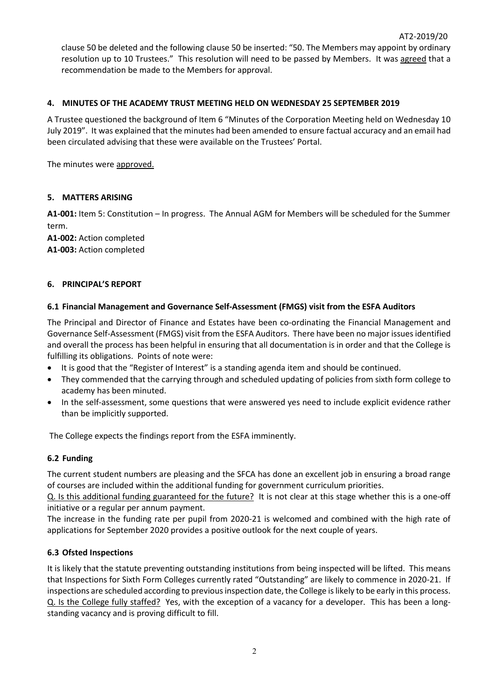clause 50 be deleted and the following clause 50 be inserted: "50. The Members may appoint by ordinary resolution up to 10 Trustees." This resolution will need to be passed by Members. It was agreed that a recommendation be made to the Members for approval.

# **4. MINUTES OF THE ACADEMY TRUST MEETING HELD ON WEDNESDAY 25 SEPTEMBER 2019**

A Trustee questioned the background of Item 6 "Minutes of the Corporation Meeting held on Wednesday 10 July 2019". It was explained that the minutes had been amended to ensure factual accuracy and an email had been circulated advising that these were available on the Trustees' Portal.

The minutes were approved.

# **5. MATTERS ARISING**

**A1-001:** Item 5: Constitution – In progress. The Annual AGM for Members will be scheduled for the Summer term.

**A1-002:** Action completed **A1-003:** Action completed

### **6. PRINCIPAL'S REPORT**

# **6.1 Financial Management and Governance Self-Assessment (FMGS) visit from the ESFA Auditors**

The Principal and Director of Finance and Estates have been co-ordinating the Financial Management and Governance Self-Assessment (FMGS) visit from the ESFA Auditors. There have been no major issues identified and overall the process has been helpful in ensuring that all documentation is in order and that the College is fulfilling its obligations. Points of note were:

- It is good that the "Register of Interest" is a standing agenda item and should be continued.
- They commended that the carrying through and scheduled updating of policies from sixth form college to academy has been minuted.
- In the self-assessment, some questions that were answered yes need to include explicit evidence rather than be implicitly supported.

The College expects the findings report from the ESFA imminently.

### **6.2 Funding**

The current student numbers are pleasing and the SFCA has done an excellent job in ensuring a broad range of courses are included within the additional funding for government curriculum priorities.

Q. Is this additional funding guaranteed for the future? It is not clear at this stage whether this is a one-off initiative or a regular per annum payment.

The increase in the funding rate per pupil from 2020-21 is welcomed and combined with the high rate of applications for September 2020 provides a positive outlook for the next couple of years.

# **6.3 Ofsted Inspections**

It is likely that the statute preventing outstanding institutions from being inspected will be lifted. This means that Inspections for Sixth Form Colleges currently rated "Outstanding" are likely to commence in 2020-21. If inspections are scheduled according to previous inspection date, the College is likely to be early in this process. Q. Is the College fully staffed? Yes, with the exception of a vacancy for a developer. This has been a longstanding vacancy and is proving difficult to fill.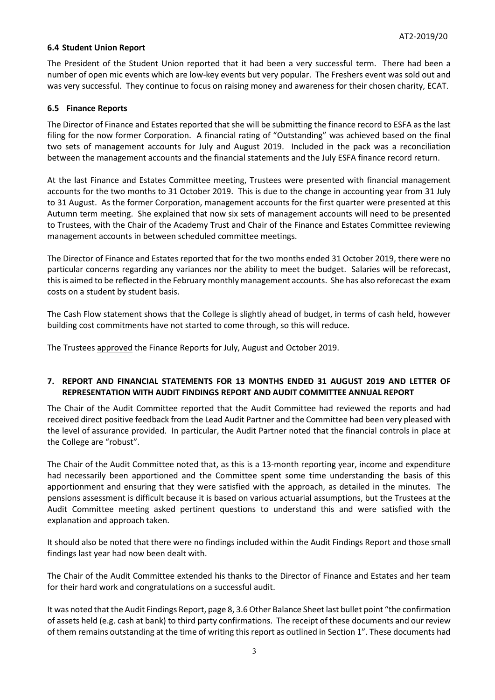## **6.4 Student Union Report**

The President of the Student Union reported that it had been a very successful term. There had been a number of open mic events which are low-key events but very popular. The Freshers event was sold out and was very successful. They continue to focus on raising money and awareness for their chosen charity, ECAT.

## **6.5 Finance Reports**

The Director of Finance and Estates reported that she will be submitting the finance record to ESFA as the last filing for the now former Corporation. A financial rating of "Outstanding" was achieved based on the final two sets of management accounts for July and August 2019. Included in the pack was a reconciliation between the management accounts and the financial statements and the July ESFA finance record return.

At the last Finance and Estates Committee meeting, Trustees were presented with financial management accounts for the two months to 31 October 2019. This is due to the change in accounting year from 31 July to 31 August. As the former Corporation, management accounts for the first quarter were presented at this Autumn term meeting. She explained that now six sets of management accounts will need to be presented to Trustees, with the Chair of the Academy Trust and Chair of the Finance and Estates Committee reviewing management accounts in between scheduled committee meetings.

The Director of Finance and Estates reported that for the two months ended 31 October 2019, there were no particular concerns regarding any variances nor the ability to meet the budget. Salaries will be reforecast, this is aimed to be reflected in the February monthly management accounts. She has also reforecast the exam costs on a student by student basis.

The Cash Flow statement shows that the College is slightly ahead of budget, in terms of cash held, however building cost commitments have not started to come through, so this will reduce.

The Trustees approved the Finance Reports for July, August and October 2019.

# **7. REPORT AND FINANCIAL STATEMENTS FOR 13 MONTHS ENDED 31 AUGUST 2019 AND LETTER OF REPRESENTATION WITH AUDIT FINDINGS REPORT AND AUDIT COMMITTEE ANNUAL REPORT**

The Chair of the Audit Committee reported that the Audit Committee had reviewed the reports and had received direct positive feedback from the Lead Audit Partner and the Committee had been very pleased with the level of assurance provided. In particular, the Audit Partner noted that the financial controls in place at the College are "robust".

The Chair of the Audit Committee noted that, as this is a 13-month reporting year, income and expenditure had necessarily been apportioned and the Committee spent some time understanding the basis of this apportionment and ensuring that they were satisfied with the approach, as detailed in the minutes. The pensions assessment is difficult because it is based on various actuarial assumptions, but the Trustees at the Audit Committee meeting asked pertinent questions to understand this and were satisfied with the explanation and approach taken.

It should also be noted that there were no findings included within the Audit Findings Report and those small findings last year had now been dealt with.

The Chair of the Audit Committee extended his thanks to the Director of Finance and Estates and her team for their hard work and congratulations on a successful audit.

It was noted that the Audit Findings Report, page 8, 3.6 Other Balance Sheet last bullet point "the confirmation of assets held (e.g. cash at bank) to third party confirmations. The receipt of these documents and our review of them remains outstanding at the time of writing this report as outlined in Section 1". These documents had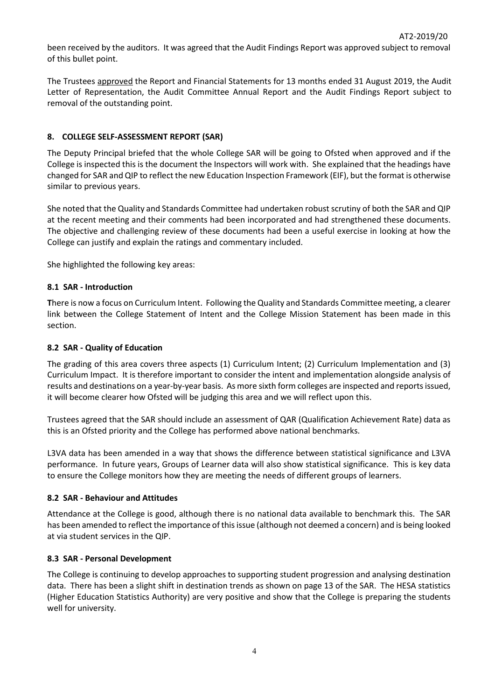been received by the auditors. It was agreed that the Audit Findings Report was approved subject to removal of this bullet point.

The Trustees approved the Report and Financial Statements for 13 months ended 31 August 2019, the Audit Letter of Representation, the Audit Committee Annual Report and the Audit Findings Report subject to removal of the outstanding point.

## **8. COLLEGE SELF-ASSESSMENT REPORT (SAR)**

The Deputy Principal briefed that the whole College SAR will be going to Ofsted when approved and if the College is inspected this is the document the Inspectors will work with. She explained that the headings have changed for SAR and QIP to reflect the new Education Inspection Framework (EIF), but the format is otherwise similar to previous years.

She noted that the Quality and Standards Committee had undertaken robust scrutiny of both the SAR and QIP at the recent meeting and their comments had been incorporated and had strengthened these documents. The objective and challenging review of these documents had been a useful exercise in looking at how the College can justify and explain the ratings and commentary included.

She highlighted the following key areas:

### **8.1 SAR - Introduction**

**T**here is now a focus on Curriculum Intent. Following the Quality and Standards Committee meeting, a clearer link between the College Statement of Intent and the College Mission Statement has been made in this section.

## **8.2 SAR - Quality of Education**

The grading of this area covers three aspects (1) Curriculum Intent; (2) Curriculum Implementation and (3) Curriculum Impact. It is therefore important to consider the intent and implementation alongside analysis of results and destinations on a year-by-year basis. As more sixth form colleges are inspected and reports issued, it will become clearer how Ofsted will be judging this area and we will reflect upon this.

Trustees agreed that the SAR should include an assessment of QAR (Qualification Achievement Rate) data as this is an Ofsted priority and the College has performed above national benchmarks.

L3VA data has been amended in a way that shows the difference between statistical significance and L3VA performance. In future years, Groups of Learner data will also show statistical significance. This is key data to ensure the College monitors how they are meeting the needs of different groups of learners.

### **8.2 SAR - Behaviour and Attitudes**

Attendance at the College is good, although there is no national data available to benchmark this. The SAR has been amended to reflect the importance of this issue (although not deemed a concern) and is being looked at via student services in the QIP.

### **8.3 SAR - Personal Development**

The College is continuing to develop approaches to supporting student progression and analysing destination data. There has been a slight shift in destination trends as shown on page 13 of the SAR. The HESA statistics (Higher Education Statistics Authority) are very positive and show that the College is preparing the students well for university.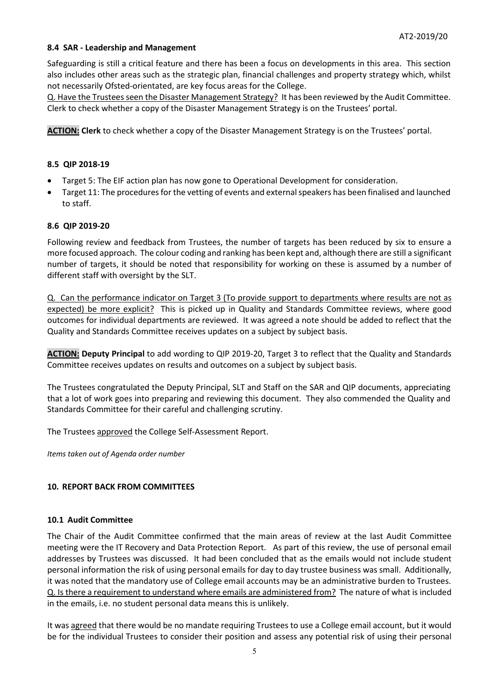## **8.4 SAR - Leadership and Management**

Safeguarding is still a critical feature and there has been a focus on developments in this area. This section also includes other areas such as the strategic plan, financial challenges and property strategy which, whilst not necessarily Ofsted-orientated, are key focus areas for the College.

Q. Have the Trustees seen the Disaster Management Strategy? It has been reviewed by the Audit Committee. Clerk to check whether a copy of the Disaster Management Strategy is on the Trustees' portal.

**ACTION: Clerk** to check whether a copy of the Disaster Management Strategy is on the Trustees' portal.

### **8.5 QIP 2018-19**

- Target 5: The EIF action plan has now gone to Operational Development for consideration.
- Target 11: The procedures for the vetting of events and external speakers has been finalised and launched to staff.

### **8.6 QIP 2019-20**

Following review and feedback from Trustees, the number of targets has been reduced by six to ensure a more focused approach. The colour coding and ranking has been kept and, although there are still a significant number of targets, it should be noted that responsibility for working on these is assumed by a number of different staff with oversight by the SLT.

Q. Can the performance indicator on Target 3 (To provide support to departments where results are not as expected) be more explicit? This is picked up in Quality and Standards Committee reviews, where good outcomes for individual departments are reviewed. It was agreed a note should be added to reflect that the Quality and Standards Committee receives updates on a subject by subject basis.

**ACTION: Deputy Principal** to add wording to QIP 2019-20, Target 3 to reflect that the Quality and Standards Committee receives updates on results and outcomes on a subject by subject basis.

The Trustees congratulated the Deputy Principal, SLT and Staff on the SAR and QIP documents, appreciating that a lot of work goes into preparing and reviewing this document. They also commended the Quality and Standards Committee for their careful and challenging scrutiny.

The Trustees approved the College Self-Assessment Report.

*Items taken out of Agenda order number*

### **10. REPORT BACK FROM COMMITTEES**

### **10.1 Audit Committee**

The Chair of the Audit Committee confirmed that the main areas of review at the last Audit Committee meeting were the IT Recovery and Data Protection Report. As part of this review, the use of personal email addresses by Trustees was discussed. It had been concluded that as the emails would not include student personal information the risk of using personal emails for day to day trustee business was small. Additionally, it was noted that the mandatory use of College email accounts may be an administrative burden to Trustees. Q. Is there a requirement to understand where emails are administered from? The nature of what is included in the emails, i.e. no student personal data means this is unlikely.

It was agreed that there would be no mandate requiring Trustees to use a College email account, but it would be for the individual Trustees to consider their position and assess any potential risk of using their personal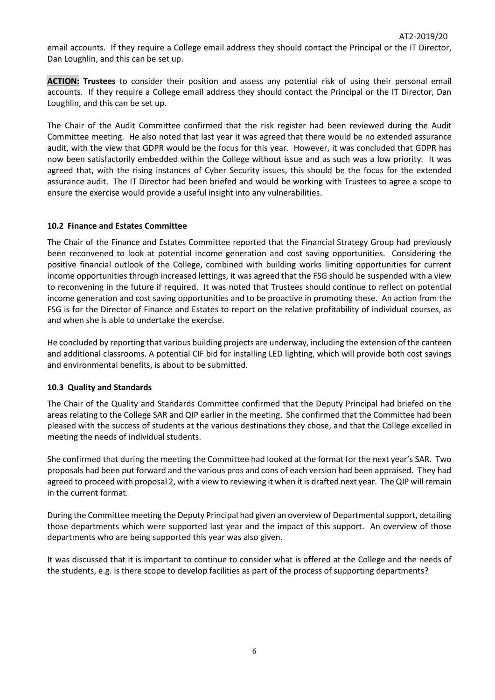email accounts. If they require a College email address they should contact the Principal or the IT Director, Dan Loughlin, and this can be set up.

**ACTION: Trustees** to consider their position and assess any potential risk of using their personal email accounts. If they require a College email address they should contact the Principal or the IT Director, Dan Loughlin, and this can be set up.

The Chair of the Audit Committee confirmed that the risk register had been reviewed during the Audit Committee meeting. He also noted that last year it was agreed that there would be no extended assurance audit, with the view that GDPR would be the focus for this year. However, it was concluded that GDPR has now been satisfactorily embedded within the College without issue and as such was a low priority. It was agreed that, with the rising instances of Cyber Security issues, this should be the focus for the extended assurance audit. The IT Director had been briefed and would be working with Trustees to agree a scope to ensure the exercise would provide a useful insight into any vulnerabilities.

### **10.2 Finance and Estates Committee**

The Chair of the Finance and Estates Committee reported that the Financial Strategy Group had previously been reconvened to look at potential income generation and cost saving opportunities. Considering the positive financial outlook of the College, combined with building works limiting opportunities for current income opportunities through increased lettings, it was agreed that the FSG should be suspended with a view to reconvening in the future if required. It was noted that Trustees should continue to reflect on potential income generation and cost saving opportunities and to be proactive in promoting these. An action from the FSG is for the Director of Finance and Estates to report on the relative profitability of individual courses, as and when she is able to undertake the exercise.

He concluded by reporting that various building projects are underway, including the extension of the canteen and additional classrooms. A potential CIF bid for installing LED lighting, which will provide both cost savings and environmental benefits, is about to be submitted.

# **10.3 Quality and Standards**

The Chair of the Quality and Standards Committee confirmed that the Deputy Principal had briefed on the areas relating to the College SAR and QIP earlier in the meeting. She confirmed that the Committee had been pleased with the success of students at the various destinations they chose, and that the College excelled in meeting the needs of individual students.

She confirmed that during the meeting the Committee had looked at the format for the next year's SAR. Two proposals had been put forward and the various pros and cons of each version had been appraised. They had agreed to proceed with proposal 2, with a view to reviewing it when it is drafted next year. The QIP will remain in the current format.

During the Committee meeting the Deputy Principal had given an overview of Departmental support, detailing those departments which were supported last year and the impact of this support. An overview of those departments who are being supported this year was also given.

It was discussed that it is important to continue to consider what is offered at the College and the needs of the students, e.g. is there scope to develop facilities as part of the process of supporting departments?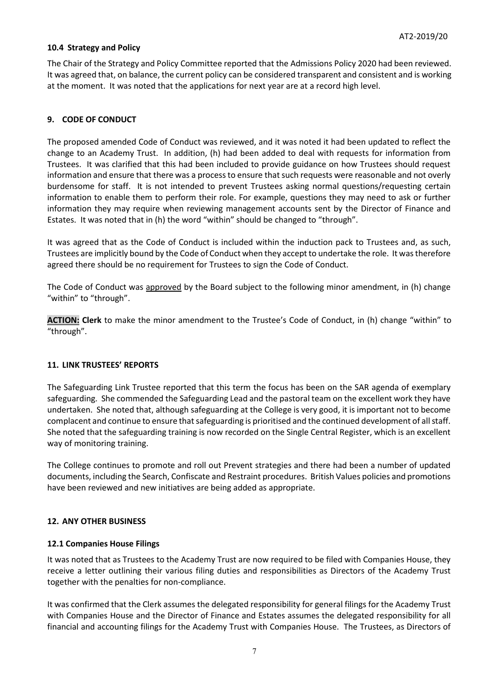# **10.4 Strategy and Policy**

The Chair of the Strategy and Policy Committee reported that the Admissions Policy 2020 had been reviewed. It was agreed that, on balance, the current policy can be considered transparent and consistent and is working at the moment. It was noted that the applications for next year are at a record high level.

# **9. CODE OF CONDUCT**

The proposed amended Code of Conduct was reviewed, and it was noted it had been updated to reflect the change to an Academy Trust. In addition, (h) had been added to deal with requests for information from Trustees. It was clarified that this had been included to provide guidance on how Trustees should request information and ensure that there was a process to ensure that such requests were reasonable and not overly burdensome for staff. It is not intended to prevent Trustees asking normal questions/requesting certain information to enable them to perform their role. For example, questions they may need to ask or further information they may require when reviewing management accounts sent by the Director of Finance and Estates. It was noted that in (h) the word "within" should be changed to "through".

It was agreed that as the Code of Conduct is included within the induction pack to Trustees and, as such, Trustees are implicitly bound by the Code of Conduct when they accept to undertake the role. It was therefore agreed there should be no requirement for Trustees to sign the Code of Conduct.

The Code of Conduct was approved by the Board subject to the following minor amendment, in (h) change "within" to "through".

**ACTION: Clerk** to make the minor amendment to the Trustee's Code of Conduct, in (h) change "within" to "through".

### **11. LINK TRUSTEES' REPORTS**

The Safeguarding Link Trustee reported that this term the focus has been on the SAR agenda of exemplary safeguarding. She commended the Safeguarding Lead and the pastoral team on the excellent work they have undertaken. She noted that, although safeguarding at the College is very good, it is important not to become complacent and continue to ensure that safeguarding is prioritised and the continued development of all staff. She noted that the safeguarding training is now recorded on the Single Central Register, which is an excellent way of monitoring training.

The College continues to promote and roll out Prevent strategies and there had been a number of updated documents, including the Search, Confiscate and Restraint procedures. British Values policies and promotions have been reviewed and new initiatives are being added as appropriate.

### **12. ANY OTHER BUSINESS**

### **12.1 Companies House Filings**

It was noted that as Trustees to the Academy Trust are now required to be filed with Companies House, they receive a letter outlining their various filing duties and responsibilities as Directors of the Academy Trust together with the penalties for non-compliance.

It was confirmed that the Clerk assumes the delegated responsibility for general filings for the Academy Trust with Companies House and the Director of Finance and Estates assumes the delegated responsibility for all financial and accounting filings for the Academy Trust with Companies House. The Trustees, as Directors of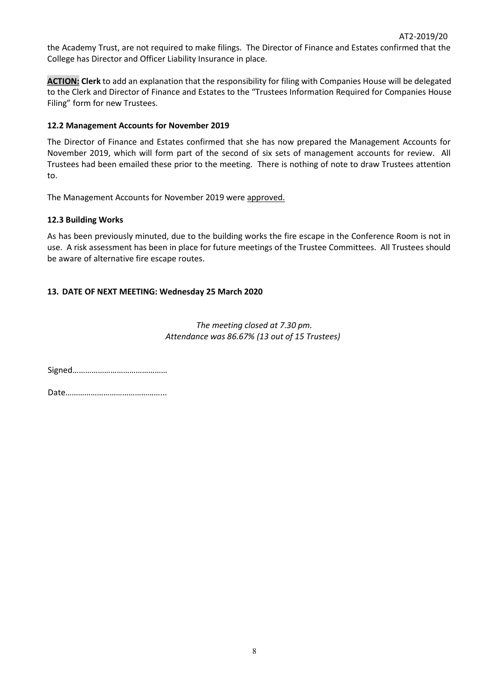the Academy Trust, are not required to make filings. The Director of Finance and Estates confirmed that the College has Director and Officer Liability Insurance in place.

**ACTION: Clerk** to add an explanation that the responsibility for filing with Companies House will be delegated to the Clerk and Director of Finance and Estates to the "Trustees Information Required for Companies House Filing" form for new Trustees.

## **12.2 Management Accounts for November 2019**

The Director of Finance and Estates confirmed that she has now prepared the Management Accounts for November 2019, which will form part of the second of six sets of management accounts for review. All Trustees had been emailed these prior to the meeting. There is nothing of note to draw Trustees attention to.

The Management Accounts for November 2019 were approved.

# **12.3 Building Works**

As has been previously minuted, due to the building works the fire escape in the Conference Room is not in use. A risk assessment has been in place for future meetings of the Trustee Committees. All Trustees should be aware of alternative fire escape routes.

# **13. DATE OF NEXT MEETING: Wednesday 25 March 2020**

*The meeting closed at 7.30 pm. Attendance was 86.67% (13 out of 15 Trustees)*

Signed………………………………………

Date………………………………………...